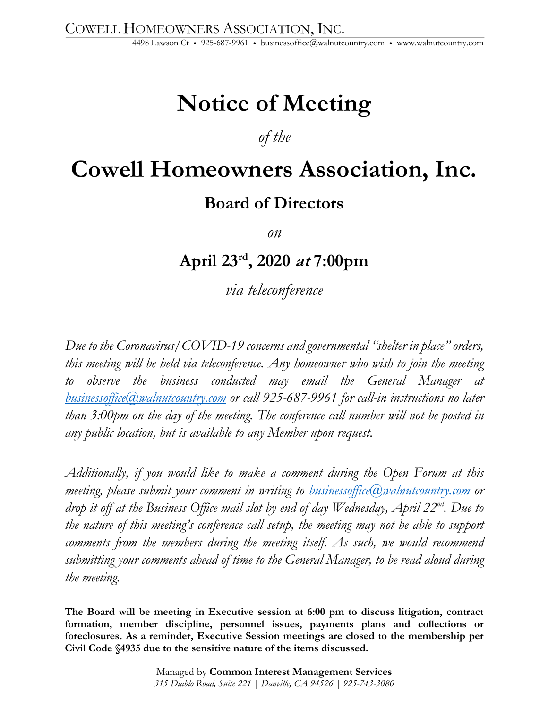4498 Lawson Ct • 925-687-9961 • businessoffice@walnutcountry.com • www.walnutcountry.com

## **Notice of Meeting**

### *of the*

## **Cowell Homeowners Association, Inc. Board of Directors**

*on*

**April 23rd , 2020 at 7:00pm**

*via teleconference*

*Due to the Coronavirus/COVID-19 concerns and governmental "shelter in place" orders, this meeting will be held via teleconference. Any homeowner who wish to join the meeting to observe the business conducted may email the General Manager at businessoffice@walnutcountry.com or call 925-687-9961 for call-in instructions no later than 3:00pm on the day of the meeting. The conference call number will not be posted in any public location, but is available to any Member upon request.*

*Additionally, if you would like to make a comment during the Open Forum at this meeting, please submit your comment in writing to businessoffice@walnutcountry.com or drop it off at the Business Office mail slot by end of day Wednesday, April 22nd. Due to the nature of this meeting's conference call setup, the meeting may not be able to support comments from the members during the meeting itself. As such, we would recommend submitting your comments ahead of time to the General Manager, to be read aloud during the meeting.* 

**The Board will be meeting in Executive session at 6:00 pm to discuss litigation, contract formation, member discipline, personnel issues, payments plans and collections or foreclosures. As a reminder, Executive Session meetings are closed to the membership per Civil Code §4935 due to the sensitive nature of the items discussed.**